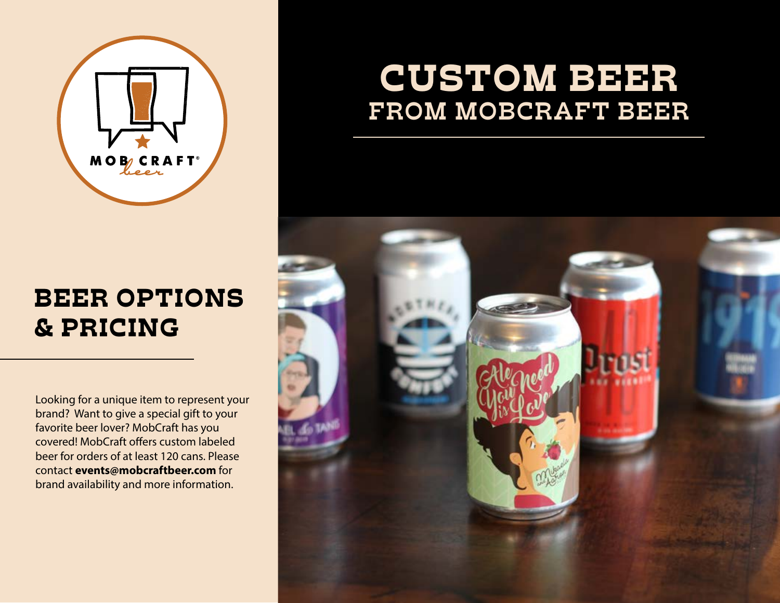

## BEER OPTIONS & PRICING

Looking for a unique item to represent your brand? Want to give a special gift to your favorite beer lover? MobCraft has you covered! MobCraft offers custom labeled beer for orders of at least 120 cans. Please contact events@mobcraftbeer.com for brand availability and more information.

## CUSTOM BEER **FROM MOBCRAFT BEER**

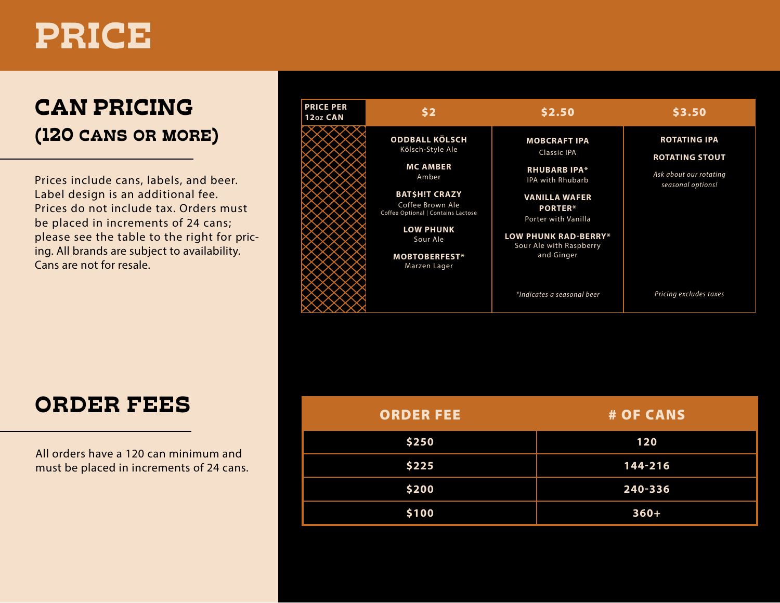# PRICE

## CAN PRICING (120 CANS OR MORE)

Prices include cans, labels, and beer. Label design is an additional fee. Prices do not include tax. Orders must be placed in increments of 24 cans; please see the table to the right for pricing. All brands are subject to availability. Cans are not for resale.



| ORDER FEES |
|------------|
|------------|

| <b>ORDER FEES</b>                                                                 | <b>ORDER FEE</b> | # OF CANS |
|-----------------------------------------------------------------------------------|------------------|-----------|
| All orders have a 120 can minimum and<br>must be placed in increments of 24 cans. | \$250            | 120       |
|                                                                                   | \$225            | 144-216   |
|                                                                                   | \$200            | 240-336   |
|                                                                                   | \$100            | $360+$    |